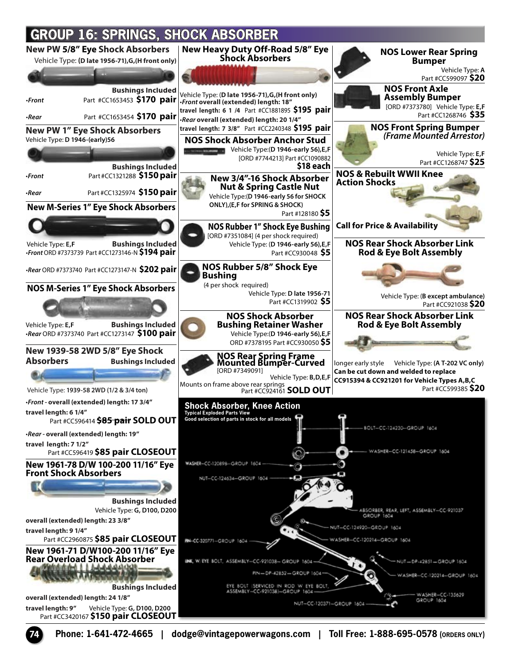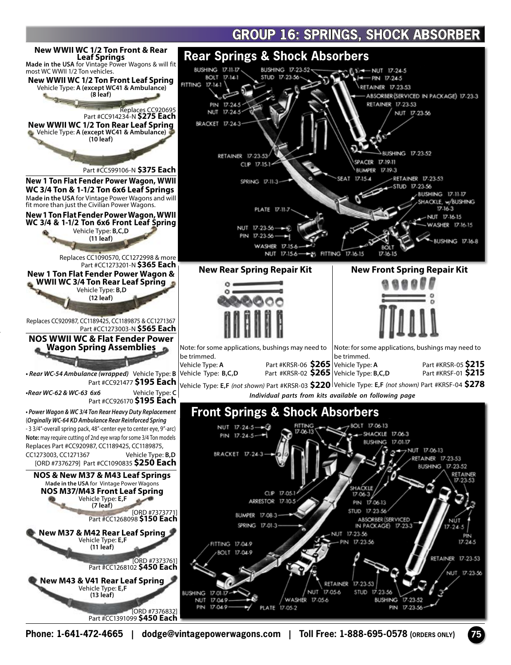## **GROUP 16: SPRINGS. SHOCK ABSORBER**